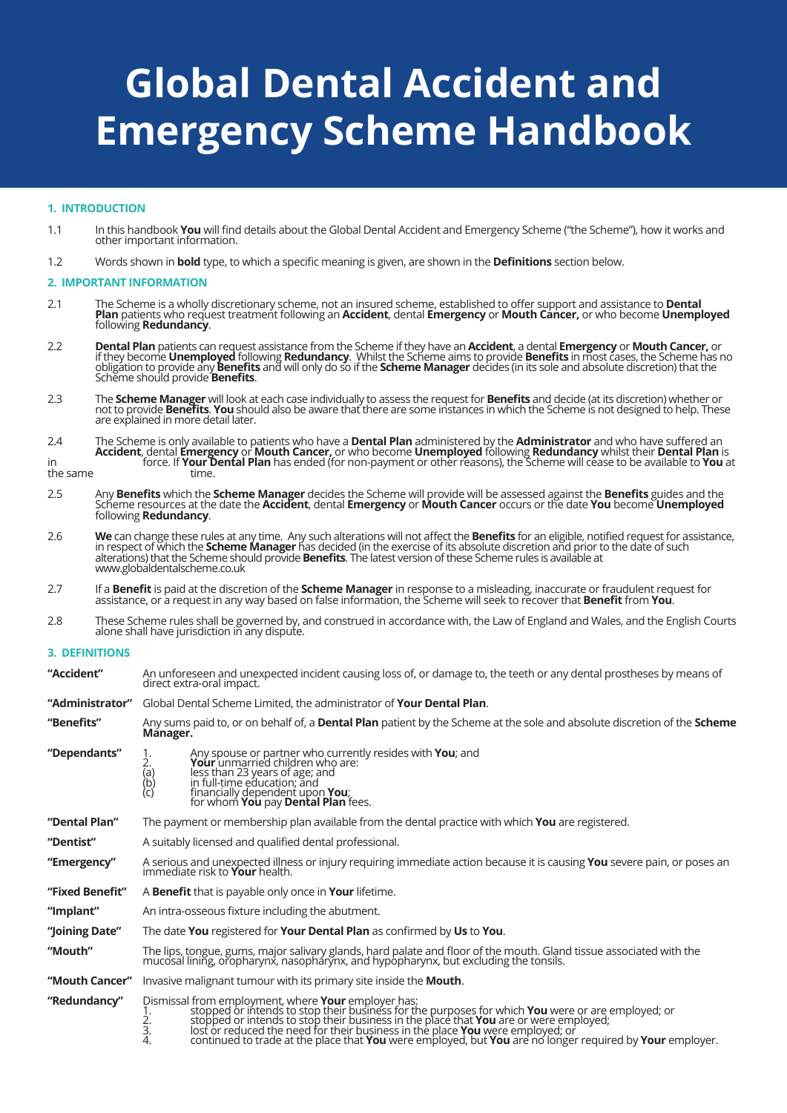# **Global Dental Accident and Emergency Scheme Handbook**

# **1. INTRODUCTION**

- 1.1 In this handbook **You** will find details about the Global Dental Accident and Emergency Scheme ("the Scheme"), how it works and other important information.
- 1.2 Words shown in **bold** type, to which a specific meaning is given, are shown in the **Definitions** section below.

## **2. IMPORTANT INFORMATION**

- 2.1 The Scheme is a wholly discretionary scheme, not an insured scheme, established to offer support and assistance to **Dental**<br>**Plan** patients who request treatment following an **Accident**, dental **Emergency** or **Mouth Ca**
- 2.2 **Dental Plan** patients can request assistance from the Scheme if they have an **Accident**, a dental **Emergency** or **Mouth Cancer,** or if they become **Unemployed** following **Redundancy**. Whilst the Scheme aims to provide **Benefits** in most cases, the Scheme has no obligation to provide any **Benefits** and will only do so if the **Scheme Manager** decides (in its sole and absolute discretion) that the Scheme should provide **Benefits**.
- 2.3 The **Scheme Manager** will look at each case individually to assess the request for **Benefits** and decide (at its discretion) whether or not to provide **Benefits. You** should also be aware that there are some instances in which the Scheme is not designed to help. These are explained in more detail later.<br>The Scheme is only available to patients who have a
- 2.4 The Scheme is only available to patients who have a **Dental Plan** administered by the **Administrator** and who have suffered an **Accident**, dental **Emergency** or **Mouth Cancer,** or who become **Unemployed** following **Redundancy** whilst their **Dental Plan** is in force. If **Your Dental Plan** has ended (for non-payment or other reasons), the Scheme will cease to be available to **You** at

the same time.

- 2.5 Any **Benefits** which the **Scheme Manager** decides the Scheme will provide will be assessed against the **Benefits** guides and the Scheme resources at the date the **Accident**, dental **Emergency** or **Mouth Cancer** occurs
- 2.6 We can change these rules at any time. Any such alterations will not affect the Benefits for an eligible, notified request for assistance,<br>in respect of which the Scheme Manager has decided (in the exercise of its abso alterations) that the Scheme should provide **Benefits**. The latest version of these Scheme rules is available at www.globaldentalscheme.co.uk
- 2.7 If a **Benefit** is paid at the discretion of the **Scheme Manager** in response to a misleading, inaccurate or fraudulent request for assistance, or a request in any way based on false information, the Scheme will seek to recover that **Benefit** from **You**.
- 2.8 These Scheme rules shall be governed by, and construed in accordance with, the Law of England and Wales, and the English Courts alone shall have jurisdiction in any dispute.

# **3. DEFINITIONS**

| "Accident"      | An unforeseen and unexpected incident causing loss of, or damage to, the teeth or any dental prostheses by means of<br>direct extra-oral impact.                                                                                                                             |  |  |
|-----------------|------------------------------------------------------------------------------------------------------------------------------------------------------------------------------------------------------------------------------------------------------------------------------|--|--|
| "Administrator" | Global Dental Scheme Limited, the administrator of <b>Your Dental Plan</b> .                                                                                                                                                                                                 |  |  |
| "Benefits"      | Any sums paid to, or on behalf of, a <b>Dental Plan</b> patient by the Scheme at the sole and absolute discretion of the <b>Scheme</b><br>Månager.                                                                                                                           |  |  |
| "Dependants"    | Any spouse or partner who currently resides with You; and<br>Your unmarried children who are:<br>- 2.<br>(a)<br>(b)<br>(c)<br>less than 23 years of age; and<br>in full-time education; and<br>financially dependent upon <b>You</b> ;<br>for whom You pay Dental Plan fees. |  |  |
| "Dental Plan"   | The payment or membership plan available from the dental practice with which <b>You</b> are registered.                                                                                                                                                                      |  |  |
| "Dentist"       | A suitably licensed and qualified dental professional.                                                                                                                                                                                                                       |  |  |
| "Emergency"     | A serious and unexpected illness or injury requiring immediate action because it is causing You severe pain, or poses an<br>immediate risk to Your health.                                                                                                                   |  |  |
| "Fixed Benefit" | A <b>Benefit</b> that is payable only once in <b>Your</b> lifetime.                                                                                                                                                                                                          |  |  |
| "Implant"       | An intra-osseous fixture including the abutment.                                                                                                                                                                                                                             |  |  |
| "Joining Date"  | The date You registered for Your Dental Plan as confirmed by Us to You.                                                                                                                                                                                                      |  |  |
| "Mouth"         | The lips, tongue, gums, major salivary glands, hard palate and floor of the mouth. Gland tissue associated with the<br>mucosal lining, oropharynx, nasopharynx, and hypopharynx, but excluding the tonsils.                                                                  |  |  |
| "Mouth Cancer"  | Invasive malignant tumour with its primary site inside the <b>Mouth</b> .                                                                                                                                                                                                    |  |  |
| "Redundancy"    | Dismissal from employment, where <b>Your</b> employer has:<br>1. stopped or intends to stop their business for the purposes for which <b>You</b> were or are employed; or<br>2. stopped or intends to stop their business in the place that                                  |  |  |

4. continued to trade at the place that **You** were employed, but **You** are no longer required by **Your** employer.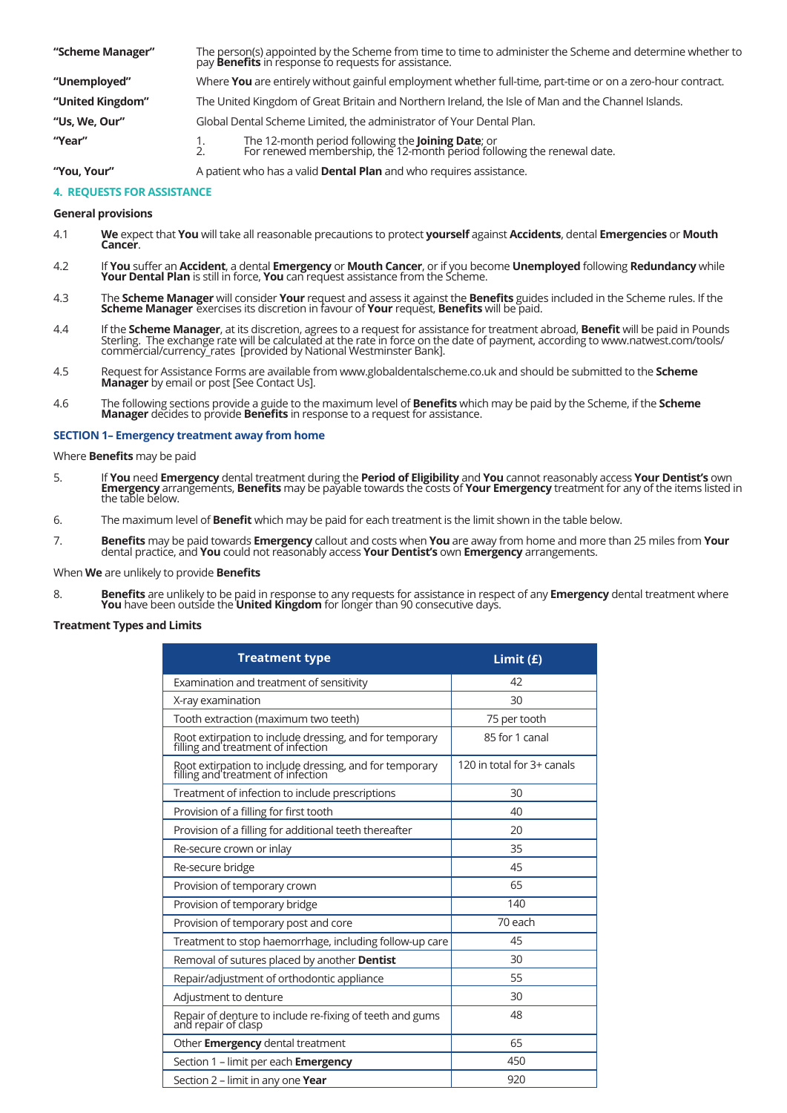| "Scheme Manager" | The person(s) appointed by the Scheme from time to time to administer the Scheme and determine whether to pay <b>Benefits</b> in response to requests for assistance. |  |  |
|------------------|-----------------------------------------------------------------------------------------------------------------------------------------------------------------------|--|--|
| "Unemployed"     | Where You are entirely without gainful employment whether full-time, part-time or on a zero-hour contract.                                                            |  |  |
| "United Kingdom" | The United Kingdom of Great Britain and Northern Ireland, the Isle of Man and the Channel Islands.                                                                    |  |  |
| "Us, We, Our"    | Global Dental Scheme Limited, the administrator of Your Dental Plan.                                                                                                  |  |  |
| "Year"           | The 12-month period following the <b>Joining Date</b> ; or<br>For renewed membership, the 12-month period following the renewal date.<br>$\frac{1}{2}$                |  |  |

**"You, Your"** A patient who has a valid **Dental Plan** and who requires assistance.

# **4. REQUESTS FOR ASSISTANCE**

## **General provisions**

- 4.1 **We** expect that **You** will take all reasonable precautions to protect **yourself** against **Accidents**, dental **Emergencies** or **Mouth Cancer**.
- 4.2 If **You** suffer an **Accident**, a dental **Emergency** or **Mouth Cancer**, or if you become **Unemployed** following **Redundancy** while **Your Dental Plan** is still in force, **You** can request assistance from the Scheme.
- 4.3 The **Scheme Manager** will consider **Your** request and assess it against the **Benefits** guides included in the Scheme rules. If the **Scheme Manager** exercises its discretion in favour of **Your** request, **Benefits** will
- 4.4 If the **Scheme Manager**, at its discretion, agrees to a request for assistance for treatment abroad, **Benefit** will be paid in Pounds<br>Sterling. The exchange rate will be calculated at the rate in force on the date of p commercial/currency\_rates [provided by National Westminster Bank].
- Request for Assistance Forms are available from www.globaldentalscheme.co.uk and should be submitted to the **Scheme**<br>**Manager** by email or post [See Contact Us].<br>4.6 The following sections provide a guide to the maximum le
- The following sections provide a guide to the maximum level of **Benefits** which may be paid by the Scheme, if the **Scheme**<br>Manager decides to provide Benefits in response to a request for assistance.

## **SECTION 1– Emergency treatment away from home**

Where **Benefits** may be paid

- 5. If **You** need **Emergency** dental treatment during the **Period of Eligibility** and **You** cannot reasonably access **Your Dentist's** own **Emergency** arrangements, **Benefits** may be payable towards the costs of **Your Emergency** treatment for any of the items listed in the table below.
- 6. The maximum level of **Benefit** which may be paid for each treatment is the limit shown in the table below.
- 7. **Benefits** may be paid towards **Emergency** callout and costs when **You** are away from home and more than 25 miles from **Your** dental practice, and **You** could not reasonably access **Your Dentist's** own **Emergency** arrangements.

#### When **We** are unlikely to provide **Benefits**

8. **Benefits** are unlikely to be paid in response to any requests for assistance in respect of any **Emergency** dental treatment where **You** have been outside the **United Kingdom** for longer than 90 consecutive days.

## **Treatment Types and Limits**

| <b>Treatment type</b>                                                                         | Limit $(f)$                |
|-----------------------------------------------------------------------------------------------|----------------------------|
| Examination and treatment of sensitivity                                                      | 42                         |
| X-ray examination                                                                             | 30                         |
| Tooth extraction (maximum two teeth)                                                          | 75 per tooth               |
| Root extirpation to include dressing, and for temporary<br>filling and treatment of infection | 85 for 1 canal             |
| Root extirpation to include dressing, and for temporary<br>filling and treatment of infection | 120 in total for 3+ canals |
| Treatment of infection to include prescriptions                                               | 30                         |
| Provision of a filling for first tooth                                                        | 40                         |
| Provision of a filling for additional teeth thereafter                                        | 20                         |
| Re-secure crown or inlay                                                                      | 35                         |
| Re-secure bridge                                                                              | 45                         |
| Provision of temporary crown                                                                  | 65                         |
| Provision of temporary bridge                                                                 | 140                        |
| Provision of temporary post and core                                                          | 70 each                    |
| Treatment to stop haemorrhage, including follow-up care                                       | 45                         |
| Removal of sutures placed by another Dentist                                                  | 30                         |
| Repair/adjustment of orthodontic appliance                                                    | 55                         |
| Adjustment to denture                                                                         | 30                         |
| Repair of denture to include re-fixing of teeth and gums<br>and repair of clasp               | 48                         |
| Other Emergency dental treatment                                                              | 65                         |
| Section 1 - limit per each <b>Emergency</b>                                                   | 450                        |
| Section 2 - limit in any one Year                                                             | 920                        |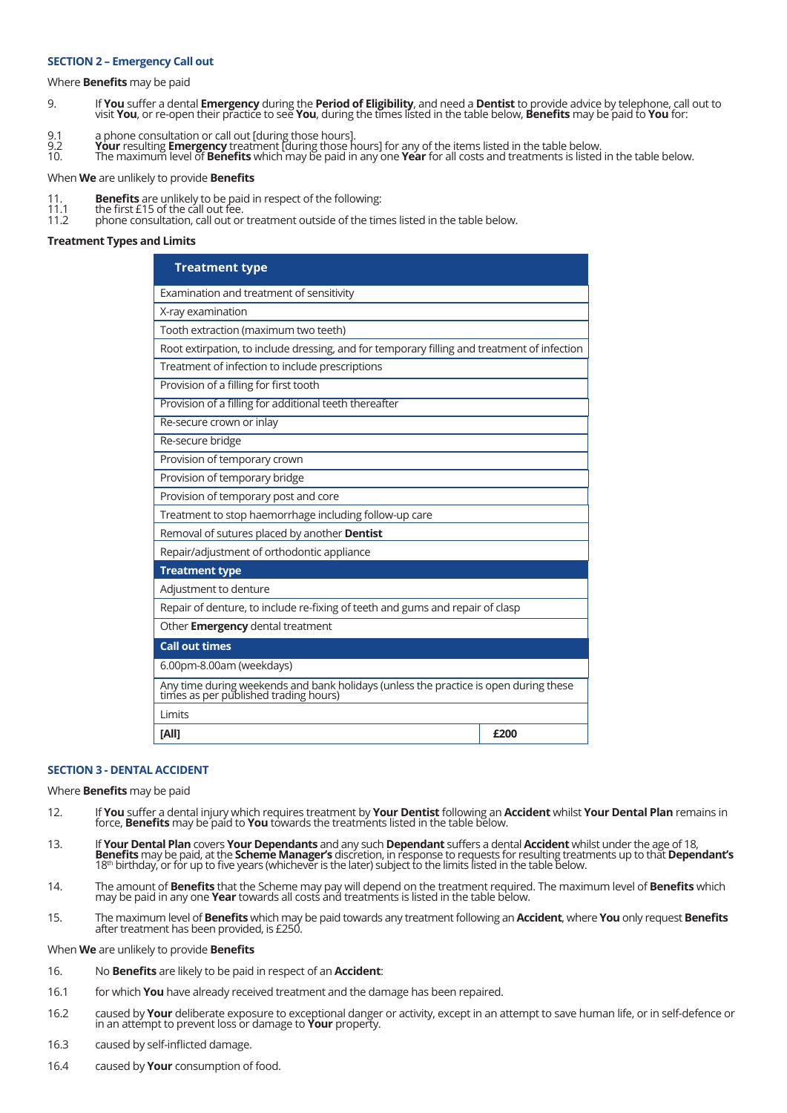#### **SECTION 2 – Emergency Call out**

Where **Benefits** may be paid

- 9. If You suffer a dental Emergency during the Period of Eligibility, and need a Dentist to provide advice by telephone, call out to visit You, or re-open their practice to see You, during the times listed in the table bel
- 
- 9.1 a phone consultation or call out [during those hours].<br>9.2 **Your** resulting **Emergency** treatment [during those hours] for any of the items listed in the table below.
- 10. The maximum level of **Benefits** which may be paid in any one **Year** for all costs and treatments is listed in the table below.

When **We** are unlikely to provide **Benefits**

- 11. **Benefits** are unlikely to be paid in respect of the following: 11.1 the first £15 of the call out fee.
- 
- 11.2 phone consultation, call out or treatment outside of the times listed in the table below.

#### **Treatment Types and Limits**

| <b>Treatment type</b>                                                                                                         |      |  |  |
|-------------------------------------------------------------------------------------------------------------------------------|------|--|--|
| Examination and treatment of sensitivity                                                                                      |      |  |  |
| X-ray examination                                                                                                             |      |  |  |
| Tooth extraction (maximum two teeth)                                                                                          |      |  |  |
| Root extirpation, to include dressing, and for temporary filling and treatment of infection                                   |      |  |  |
| Treatment of infection to include prescriptions                                                                               |      |  |  |
| Provision of a filling for first tooth                                                                                        |      |  |  |
| Provision of a filling for additional teeth thereafter                                                                        |      |  |  |
| Re-secure crown or inlay                                                                                                      |      |  |  |
| Re-secure bridge                                                                                                              |      |  |  |
| Provision of temporary crown                                                                                                  |      |  |  |
| Provision of temporary bridge                                                                                                 |      |  |  |
| Provision of temporary post and core                                                                                          |      |  |  |
| Treatment to stop haemorrhage including follow-up care                                                                        |      |  |  |
| Removal of sutures placed by another Dentist                                                                                  |      |  |  |
| Repair/adjustment of orthodontic appliance                                                                                    |      |  |  |
| <b>Treatment type</b>                                                                                                         |      |  |  |
| Adjustment to denture                                                                                                         |      |  |  |
| Repair of denture, to include re-fixing of teeth and gums and repair of clasp                                                 |      |  |  |
| Other Emergency dental treatment                                                                                              |      |  |  |
| <b>Call out times</b>                                                                                                         |      |  |  |
| 6.00pm-8.00am (weekdays)                                                                                                      |      |  |  |
| Any time during weekends and bank holidays (unless the practice is open during these<br>times as per published trading hours) |      |  |  |
| Limits                                                                                                                        |      |  |  |
| [All]                                                                                                                         | £200 |  |  |

#### **SECTION 3 - DENTAL ACCIDENT**

Where **Benefits** may be paid

- 12. If **You** suffer a dental injury which requires treatment by **Your Dentist** following an **Accident** whilst **Your Dental Plan** remains in force, **Benefits** may be paid to **You** towards the treatments listed in the table below.
- 13. If **Your Dental Plan** covers **Your Dependants** and any such **Dependant** suffers a dental **Accident** whilst under the age of 18,<br>**Benefits** may be paid, at the **Scheme Manager's** discretion, in response to requests for
- 14. The amount of **Benefits** that the Scheme may pay will depend on the treatment required. The maximum level of **Benefits** which may be paid in any one **Year** towards all costs and treatments is listed in the table below.
- 15. The maximum level of **Benefits** which may be paid towards any treatment following an **Accident**, where **You** only request **Benefits** after treatment has been provided, is £250.

When **We** are unlikely to provide **Benefits**

- 16. No **Benefits** are likely to be paid in respect of an **Accident**:
- 16.1 for which **You** have already received treatment and the damage has been repaired.
- 16.2 caused by **Your** deliberate exposure to exceptional danger or activity, except in an attempt to save human life, or in self-defence or in an attempt to prevent loss or damage to **Your** property.
- 16.3 caused by self-inflicted damage.
- 16.4 caused by **Your** consumption of food.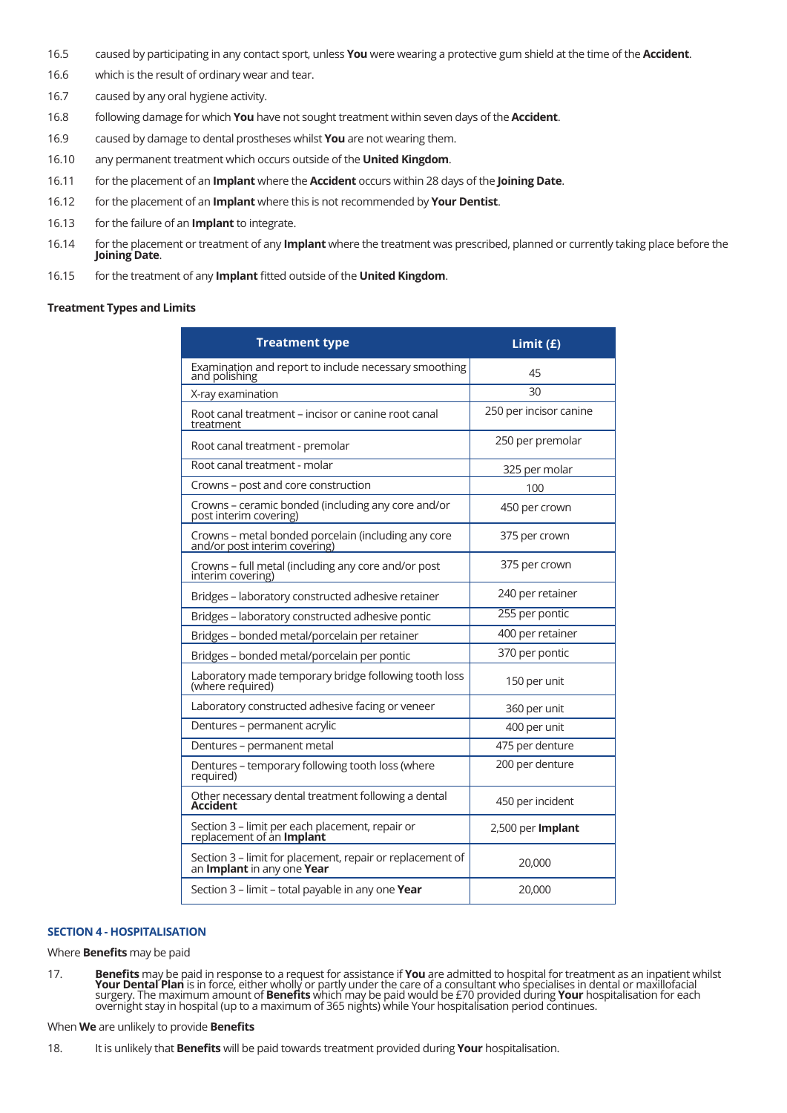- 16.5 caused by participating in any contact sport, unless **You** were wearing a protective gum shield at the time of the **Accident**.
- 16.6 which is the result of ordinary wear and tear.
- 16.7 caused by any oral hygiene activity.
- 16.8 following damage for which **You** have not sought treatment within seven days of the **Accident**.
- 16.9 caused by damage to dental prostheses whilst **You** are not wearing them.
- 16.10 any permanent treatment which occurs outside of the **United Kingdom**.
- 16.11 for the placement of an **Implant** where the **Accident** occurs within 28 days of the **Joining Date**.
- 16.12 for the placement of an **Implant** where this is not recommended by **Your Dentist**.
- 16.13 for the failure of an **Implant** to integrate.
- 16.14 for the placement or treatment of any **Implant** where the treatment was prescribed, planned or currently taking place before the **Joining Date**.
- 16.15 for the treatment of any **Implant** fitted outside of the **United Kingdom**.

# **Treatment Types and Limits**

| <b>Treatment type</b>                                                                                 | Limit $(f)$            |
|-------------------------------------------------------------------------------------------------------|------------------------|
| Examination and report to include necessary smoothing<br>and polishing                                | 45                     |
| X-ray examination                                                                                     | 30                     |
| Root canal treatment – incisor or canine root canal<br>treatment                                      | 250 per incisor canine |
| Root canal treatment - premolar                                                                       | 250 per premolar       |
| Root canal treatment - molar                                                                          | 325 per molar          |
| Crowns - post and core construction                                                                   | 100                    |
| Crowns - ceramic bonded (including any core and/or<br>post interim covering)                          | 450 per crown          |
| Crowns – metal bonded porcelain (including any core<br>and/or post interim covering)                  | 375 per crown          |
| Crowns – full metal (including any core and/or post<br>interim covering)                              | 375 per crown          |
| Bridges - laboratory constructed adhesive retainer                                                    | 240 per retainer       |
| Bridges - laboratory constructed adhesive pontic                                                      | 255 per pontic         |
| Bridges - bonded metal/porcelain per retainer                                                         | 400 per retainer       |
| Bridges - bonded metal/porcelain per pontic                                                           | 370 per pontic         |
| Laboratory made temporary bridge following tooth loss<br>(where required)                             | 150 per unit           |
| Laboratory constructed adhesive facing or veneer                                                      | 360 per unit           |
| Dentures - permanent acrylic                                                                          | 400 per unit           |
| Dentures - permanent metal                                                                            | 475 per denture        |
| Dentures - temporary following tooth loss (where<br>required)                                         | 200 per denture        |
| Other necessary dental treatment following a dental<br>Accident                                       | 450 per incident       |
| Section 3 – limit per each placement, repair or<br>replacement of an <b>Implant</b>                   | 2,500 per Implant      |
| Section 3 – limit for placement, repair or replacement of<br>an <b>Implant</b> in any one <b>Year</b> | 20,000                 |
| Section 3 - limit - total payable in any one Year                                                     | 20,000                 |

# **SECTION 4 - HOSPITALISATION**

Where **Benefits** may be paid

17. **Benefits** may be paid in response to a request for assistance if **You** are admitted to hospital for treatment as an inpatient whilst **Your Dental Plan** is in force, either wholly or partly under the care of a consulta

When **We** are unlikely to provide **Benefits**

<sup>18.</sup> It is unlikely that **Benefits** will be paid towards treatment provided during **Your** hospitalisation.